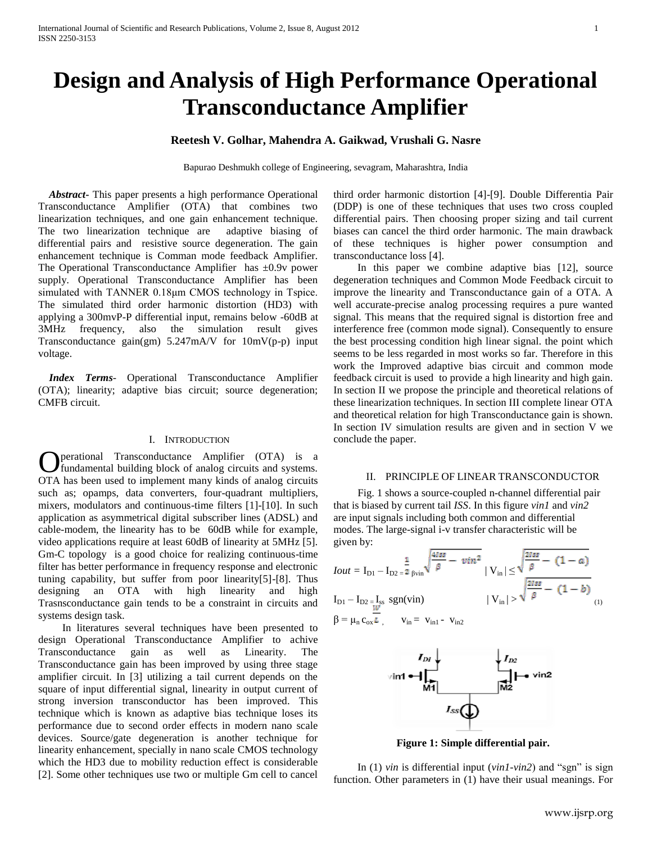# **Design and Analysis of High Performance Operational Transconductance Amplifier**

# **Reetesh V. Golhar, Mahendra A. Gaikwad, Vrushali G. Nasre**

Bapurao Deshmukh college of Engineering, sevagram, Maharashtra, India

 *Abstract***-** This paper presents a high performance Operational Transconductance Amplifier (OTA) that combines two linearization techniques, and one gain enhancement technique. The two linearization technique are adaptive biasing of differential pairs and resistive source degeneration. The gain enhancement technique is Comman mode feedback Amplifier. The Operational Transconductance Amplifier has  $\pm 0.9v$  power supply. Operational Transconductance Amplifier has been simulated with TANNER 0.18μm CMOS technology in Tspice. The simulated third order harmonic distortion (HD3) with applying a 300mvP-P differential input, remains below -60dB at 3MHz frequency, also the simulation result gives Transconductance gain(gm) 5.247mA/V for 10mV(p-p) input voltage.

 *Index Terms*- Operational Transconductance Amplifier (OTA); linearity; adaptive bias circuit; source degeneration; CMFB circuit.

## I. INTRODUCTION

perational Transconductance Amplifier (OTA) is a **C** perational Transconductance Amplifier (OTA) is a fundamental building block of analog circuits and systems. OTA has been used to implement many kinds of analog circuits such as; opamps, data converters, four-quadrant multipliers, mixers, modulators and continuous-time filters [1]-[10]. In such application as asymmetrical digital subscriber lines (ADSL) and cable-modem, the linearity has to be 60dB while for example, video applications require at least 60dB of linearity at 5MHz [5]. Gm-C topology is a good choice for realizing continuous-time filter has better performance in frequency response and electronic tuning capability, but suffer from poor linearity[5]-[8]. Thus designing an OTA with high linearity and high Trasnsconductance gain tends to be a constraint in circuits and systems design task.

 In literatures several techniques have been presented to design Operational Transconductance Amplifier to achive Transconductance gain as well as Linearity. The Transconductance gain has been improved by using three stage amplifier circuit. In [3] utilizing a tail current depends on the square of input differential signal, linearity in output current of strong inversion transconductor has been improved. This technique which is known as adaptive bias technique loses its performance due to second order effects in modern nano scale devices. Source/gate degeneration is another technique for linearity enhancement, specially in nano scale CMOS technology which the HD3 due to mobility reduction effect is considerable [2]. Some other techniques use two or multiple Gm cell to cancel

third order harmonic distortion [4]-[9]. Double Differentia Pair (DDP) is one of these techniques that uses two cross coupled differential pairs. Then choosing proper sizing and tail current biases can cancel the third order harmonic. The main drawback of these techniques is higher power consumption and transconductance loss [4].

 In this paper we combine adaptive bias [12], source degeneration techniques and Common Mode Feedback circuit to improve the linearity and Transconductance gain of a OTA. A well accurate-precise analog processing requires a pure wanted signal. This means that the required signal is distortion free and interference free (common mode signal). Consequently to ensure the best processing condition high linear signal. the point which seems to be less regarded in most works so far. Therefore in this work the Improved adaptive bias circuit and common mode feedback circuit is used to provide a high linearity and high gain. In section II we propose the principle and theoretical relations of these linearization techniques. In section III complete linear OTA and theoretical relation for high Transconductance gain is shown. In section IV simulation results are given and in section V we conclude the paper.

#### II. PRINCIPLE OF LINEAR TRANSCONDUCTOR

 Fig. 1 shows a source-coupled n-channel differential pair that is biased by current tail *ISS*. In this figure *vin1* and *vin2* are input signals including both common and differential modes. The large-signal i-v transfer characteristic will be given by:

$$
I_{Out} = I_{D1} - I_{D2} = \frac{1}{2} \sin \sqrt{\frac{4188}{\beta} - \nu i n^2} |V_{in}| \le \sqrt{\frac{2188}{\beta} - (1 - a)}
$$
  
\n
$$
I_{D1} - I_{D2} = I_{ss} \text{ sgn}(\text{vin}) |V_{in}| > \sqrt{\frac{2188}{\beta} - (1 - b)}
$$
  
\n
$$
\beta = \mu_n c_{ox} \frac{1}{\nu} , \qquad v_{in} = v_{in1} - v_{in2}
$$



**Figure 1: Simple differential pair.**

 In (1) *vin* is differential input (*vin1-vin2*) and "sgn" is sign function. Other parameters in (1) have their usual meanings. For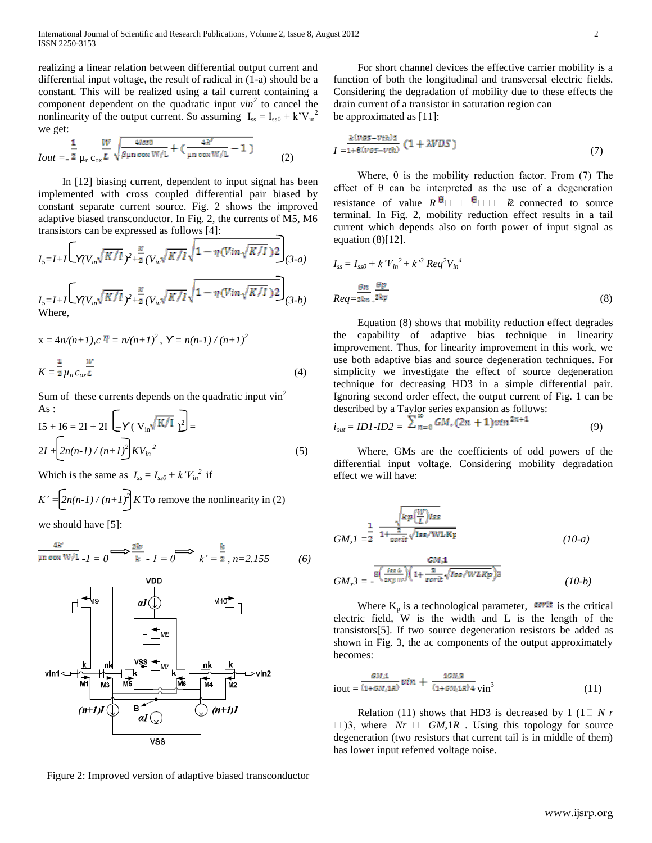realizing a linear relation between differential output current and differential input voltage, the result of radical in (1-a) should be a constant. This will be realized using a tail current containing a component dependent on the quadratic input *vin<sup>2</sup>* to cancel the nonlinearity of the output current. So assuming  $I_{ss} = I_{ss0} + k'V_{in}^2$ we get:

$$
I_{Out} = \frac{1}{2} \frac{W}{\mu_{n} c_{ox} L} \sqrt{\frac{41880}{\beta \mu n \cos W/L} + (\frac{4k'}{\mu n \cos W/L} - 1)}
$$
(2)

 In [12] biasing current, dependent to input signal has been implemented with cross coupled differential pair biased by constant separate current source. Fig. 2 shows the improved adaptive biased transconductor. In Fig. 2, the currents of M5, M6 transistors can be expressed as follows [4]:

$$
I_{5}=I+I\left[\sqrt{\frac{V_{in}\sqrt{K/I}}{2}+\frac{\alpha}{2}}(V_{in}\sqrt{K/I}\sqrt{1-\eta(Vin\sqrt{K/I})^{2}}\right]_{(3-a)}
$$
  
\n
$$
I_{5}=I+I\left[\sqrt{\frac{V_{in}\sqrt{K/I}}{2}+\frac{\alpha}{2}}(V_{in}\sqrt{K/I}\sqrt{1-\eta(Vin\sqrt{K/I})^{2}}\right]_{(3-b)}
$$
  
\nWhere,

$$
x = 4n/(n+1), c \eta = n/(n+1)^{2}, Y = n(n-1)/(n+1)^{2}
$$
  

$$
K = \frac{1}{2} \mu_{n} c_{ox} \frac{w}{L}
$$
 (4)

Sum of these currents depends on the quadratic input  $\sin^2$ As :

$$
15 + 16 = 2I + 2I \left[ -Y \left( V_{in} \sqrt{K/I} \right) \right]^{2} = 2I + \left[ 2n(n-1)/(n+1) \right] K V_{in}^{2}
$$
 (5)

Which is the same as  $I_{ss} = I_{ss0} + k'V_{in}^2$  if

$$
K' = \left[ 2n(n-1)/(n+1) \right]^2 K
$$
 To remove the nonlinearity in (2)

we should have [5]:

$$
\frac{4k'}{\mu n \cos W/L} I = 0 \Longrightarrow \frac{2k'}{k} I = 0 \Longrightarrow k' = \frac{k}{2}, n = 2.155
$$
 (6)



Figure 2: Improved version of adaptive biased transconductor

 For short channel devices the effective carrier mobility is a function of both the longitudinal and transversal electric fields. Considering the degradation of mobility due to these effects the drain current of a transistor in saturation region can be approximated as [11]:

$$
I = \frac{k(vgs - vrh)z}{1 + \theta(vgs - vrh)} (1 + \lambda VDS)
$$
\n(7)

Where,  $\theta$  is the mobility reduction factor. From (7) The effect of  $\theta$  can be interpreted as the use of a degeneration resistance of value  $R^{\theta}$   $\Box$   $\Box$   $\theta$   $\Box$   $\Box$   $\Re$  connected to source terminal. In Fig. 2, mobility reduction effect results in a tail current which depends also on forth power of input signal as equation  $(8)[12]$ .

$$
I_{ss} = I_{ss0} + k'V_{in}^{2} + k'^{3}Req^{2}V_{in}^{4}
$$
  

$$
Req = \frac{\Theta n}{2km} \frac{\Theta p}{k^{2kp}}
$$
 (8)

 Equation (8) shows that mobility reduction effect degrades the capability of adaptive bias technique in linearity improvement. Thus, for linearity improvement in this work, we use both adaptive bias and source degeneration techniques. For simplicity we investigate the effect of source degeneration technique for decreasing HD3 in a simple differential pair. Ignoring second order effect, the output current of Fig. 1 can be described by a Taylor series expansion as follows:

$$
i_{out} = IDI \cdot ID2 = \sum_{n=0}^{\infty} GM \cdot (2n+1) \cdot \sin^{2n+1} \tag{9}
$$

 Where, GMs are the coefficients of odd powers of the differential input voltage. Considering mobility degradation effect we will have:

$$
GM, I = \frac{1}{2} \frac{\sqrt{\kappa p(\frac{W}{L})lss}}{1 + \frac{2}{\epsilon\sigma rit}\sqrt{\text{Iss/WLKp}}}
$$
\n
$$
GM, 3 = -\frac{\frac{GM, 1}{8(\frac{IszL}{2Kp})\sqrt{1 + \frac{2}{\epsilon\sigma rit}\sqrt{Iss/WLKp}}}}{(10-b)}
$$
\n(10-b)

Where  $K_p$  is a technological parameter, **serit** is the critical electric field, W is the width and L is the length of the transistors[5]. If two source degeneration resistors be added as shown in Fig. 3, the ac components of the output approximately becomes:

$$
i_{\text{out}} = \frac{GM_1}{(1+GM_1/R)} \text{vin} + \frac{1GN_1R}{(1+GM_1/R)4} \text{vin}^3 \tag{11}
$$

Relation (11) shows that HD3 is decreased by 1 (1 $\Box$  *N r* □ )3, where *Nr* □ □*GM*,1*R* . Using this topology for source degeneration (two resistors that current tail is in middle of them) has lower input referred voltage noise.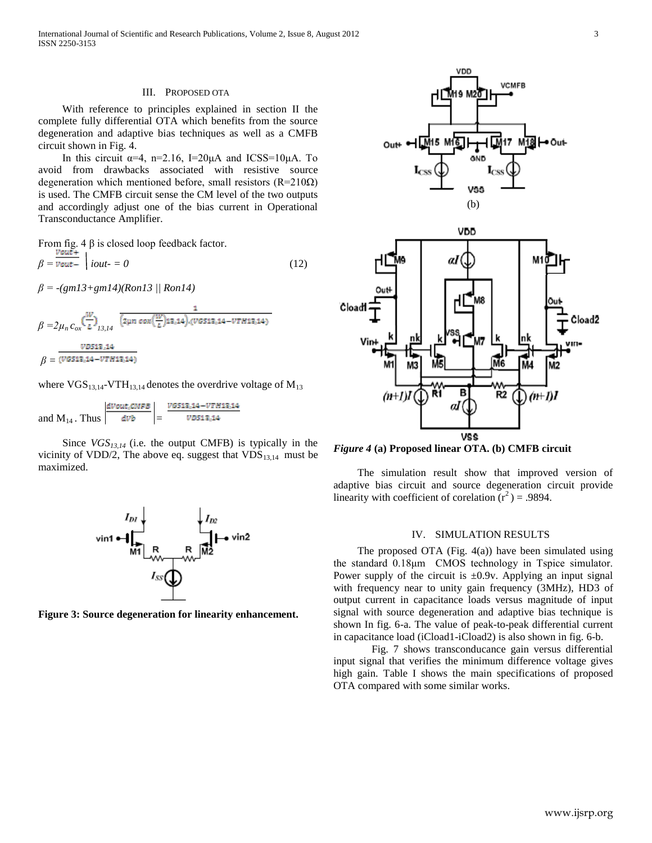### III. PROPOSED OTA

 With reference to principles explained in section II the complete fully differential OTA which benefits from the source degeneration and adaptive bias techniques as well as a CMFB circuit shown in Fig. 4.

In this circuit  $\alpha=4$ ,  $n=2.16$ ,  $I=20\mu A$  and ICSS=10 $\mu A$ . To avoid from drawbacks associated with resistive source degeneration which mentioned before, small resistors ( $R=210\Omega$ ) is used. The CMFB circuit sense the CM level of the two outputs and accordingly adjust one of the bias current in Operational Transconductance Amplifier.

From fig. 4 
$$
\beta
$$
 is closed loop feedback factor.  
\n
$$
\beta = \frac{v_{out+}}{v_{out-}} \mid iout = 0
$$
\n(12)

*β = -(gm13+gm14)(Ron13 || Ron14)*

$$
\beta = 2\mu_n c_{ox} \left(\frac{w}{L}\right)_{13,14} \frac{1}{(2\mu n \cos(\frac{w}{L})12,14)\cdot (VGS12,14-VTH12,14)}
$$

$$
\beta = \frac{VDS12,14}{(VGS12,14-VTH12,14)}
$$

where  $VGS_{13,14}$ -VTH<sub>13,14</sub> denotes the overdrive voltage of  $M_{13}$ 

and M<sub>14</sub>. Thus 
$$
\left| \frac{dVout, CNFB}{dVb} \right| = \frac{VGS13,14 - VTH13,14}{VDS13,14}
$$

 Since *VGS13,14* (i.e. the output CMFB) is typically in the vicinity of VDD/2, The above eq. suggest that  $VDS_{13,14}$  must be maximized.



**Figure 3: Source degeneration for linearity enhancement.**



*Figure 4* **(a) Proposed linear OTA. (b) CMFB circuit**

 The simulation result show that improved version of adaptive bias circuit and source degeneration circuit provide linearity with coefficient of corelation  $(r^2) = .9894$ .

### IV. SIMULATION RESULTS

The proposed OTA (Fig.  $4(a)$ ) have been simulated using the standard 0.18μm CMOS technology in Tspice simulator. Power supply of the circuit is  $\pm 0.9v$ . Applying an input signal with frequency near to unity gain frequency (3MHz), HD3 of output current in capacitance loads versus magnitude of input signal with source degeneration and adaptive bias technique is shown In fig. 6-a. The value of peak-to-peak differential current in capacitance load (iCload1-iCload2) is also shown in fig. 6-b.

Fig. 7 shows transconducance gain versus differential input signal that verifies the minimum difference voltage gives high gain. Table I shows the main specifications of proposed OTA compared with some similar works.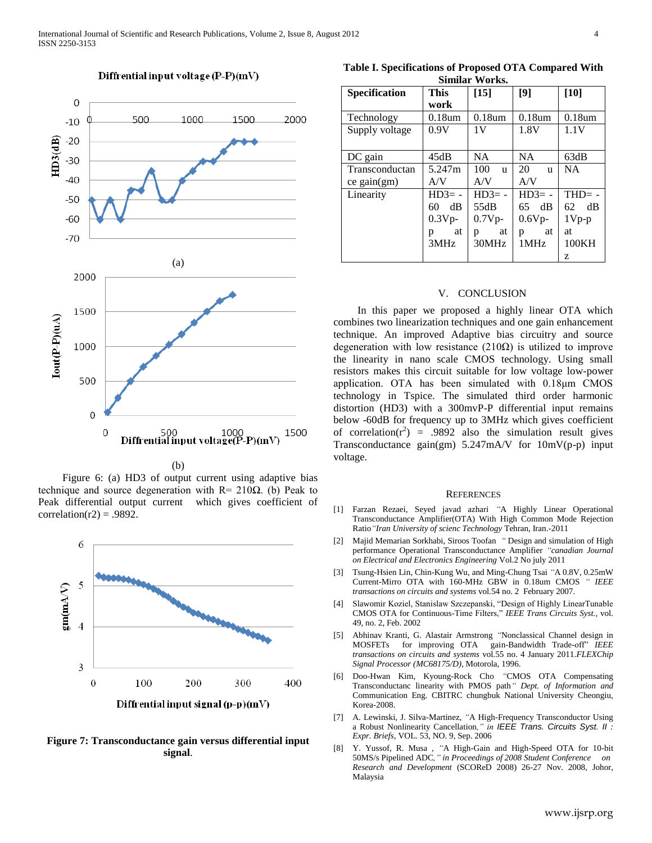

#### Diffrential input voltage (P-P)(mV)

(b)

 Figure 6: (a) HD3 of output current using adaptive bias technique and source degeneration with  $R = 210\Omega$ . (b) Peak to Peak differential output current which gives coefficient of correlation( $r2$ ) = .9892.



**Figure 7: Transconductance gain versus differential input signal**.

**Table I. Specifications of Proposed OTA Compared With Similar Works.**

| <b>Specification</b> | <b>This</b> | $[15]$              | [9]                  | $[10]$         |
|----------------------|-------------|---------------------|----------------------|----------------|
|                      | work        |                     |                      |                |
| Technology           | $0.18$ um   | $0.18$ um           | $0.18$ um            | $0.18$ um      |
| Supply voltage       | 0.9V        | 1V                  | 1.8V                 | 1.1V           |
|                      |             |                     |                      |                |
| DC gain              | 45dB        | <b>NA</b>           | <b>NA</b>            | 63dB           |
| Transconductan       | 5.247m      | 100<br>$\mathbf{u}$ | 20<br>u              | <b>NA</b>      |
| ce gain(gm)          | A/V         | A/V                 | A/V                  |                |
| Linearity            | $HD3 = -$   | $HD3 = -$           | $HD3 = -$            | $THD = -$      |
|                      | dB<br>60    | 55dB                | $65 \quad \text{dB}$ | $\rm dB$<br>62 |
|                      | $0.3Vp-$    | $0.7Vp-$            | $0.6V_{p-}$          | $1Vp-p$        |
|                      | at<br>p     | at<br>p             | at<br>p              | at             |
|                      | 3MHz        | 30MHz               | 1MHz                 | 100KH          |
|                      |             |                     |                      | Z              |

## V. CONCLUSION

 In this paper we proposed a highly linear OTA which combines two linearization techniques and one gain enhancement technique. An improved Adaptive bias circuitry and source degeneration with low resistance  $(210\Omega)$  is utilized to improve the linearity in nano scale CMOS technology. Using small resistors makes this circuit suitable for low voltage low-power application. OTA has been simulated with 0.18μm CMOS technology in Tspice. The simulated third order harmonic distortion (HD3) with a 300mvP-P differential input remains below -60dB for frequency up to 3MHz which gives coefficient of correlation( $r^2$ ) = .9892 also the simulation result gives Transconductance gain(gm) 5.247mA/V for 10mV(p-p) input voltage.

#### **REFERENCES**

- [1] Farzan Rezaei, Seyed javad azhari *"*A Highly Linear Operational Transconductance Amplifier(OTA) With High Common Mode Rejection Ratio*"Iran University of scienc Technology* Tehran, Iran.-2011
- [2] Majid Memarian Sorkhabi, Siroos Toofan *"* Design and simulation of High performance Operational Transconductance Amplifier *"canadian Journal on Electrical and Electronics Engineering* Vol.2 No july 2011
- [3] Tsung-Hsien Lin, Chin-Kung Wu, and Ming-Chung Tsai *"*A 0.8V, 0.25mW Current-Mirro OTA with 160-MHz GBW in 0.18um CMOS *" IEEE transactions on circuits and systems* vol.54 no. 2 February 2007.
- [4] Slawomir Koziel, Stanislaw Szczepanski, "Design of Highly LinearTunable CMOS OTA for Continuous-Time Filters," *IEEE Trans Circuits Syst.*, vol. 49, no. 2, Feb. 2002
- [5] Abhinav Kranti, G. Alastair Armstrong *"*Nonclassical Channel design in MOSFETs for improving OTA gain-Bandwidth Trade-off" *IEEE transactions on circuits and systems* vol.55 no. 4 January 2011.*FLEXChip Signal Processor (MC68175/D)*, Motorola, 1996.
- [6] Doo-Hwan Kim, Kyoung-Rock Cho *"*CMOS OTA Compensating Transconductanc linearity with PMOS path*" Dept. of Information and* Communication Eng. CBITRC chungbuk National University Cheongiu, Korea-2008.
- [7] A. Lewinski, J. Silva-Martinez, *"*A High-Frequency Transconductor Using a Robust Nonlinearity Cancellation*," in IEEE Trans. Circuits Syst. II : Expr. Briefs*, VOL. 53, NO. 9, Sep. 2006
- [8] Y. Yussof, R. Musa , *"*A High-Gain and High-Speed OTA for 10-bit 50MS/s Pipelined ADC*," in Proceedings of 2008 Student Conference on Research and Development* (SCOReD 2008) 26-27 Nov. 2008, Johor, Malaysia